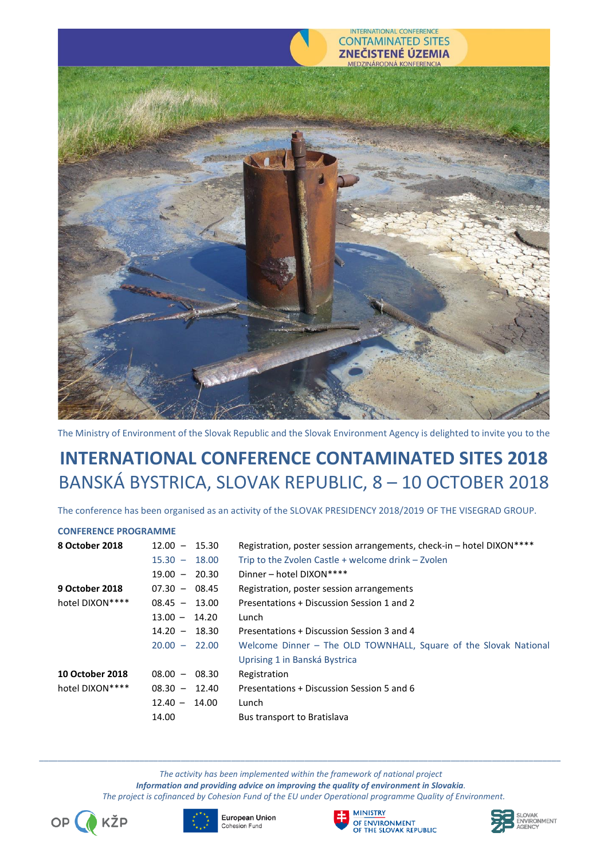

The Ministry of Environment of the Slovak Republic and the Slovak Environment Agency is delighted to invite you to the

# **INTERNATIONAL CONFERENCE CONTAMINATED SITES 2018** BANSKÁ BYSTRICA, SLOVAK REPUBLIC, 8 – 10 OCTOBER 2018

The conference has been organised as an activity of the SLOVAK PRESIDENCY 2018/2019 OF THE VISEGRAD GROUP.

### **CONFERENCE PROGRAMME**

| 8 October 2018         | $12.00 - 15.30$ | Registration, poster session arrangements, check-in - hotel DIXON**** |
|------------------------|-----------------|-----------------------------------------------------------------------|
|                        | $15.30 - 18.00$ | Trip to the Zvolen Castle $+$ welcome drink $-$ Zvolen                |
|                        | $19.00 - 20.30$ | Dinner - hotel DIXON****                                              |
| 9 October 2018         | $07.30 - 08.45$ | Registration, poster session arrangements                             |
| hotel DIXON****        | $08.45 - 13.00$ | Presentations + Discussion Session 1 and 2                            |
|                        | $13.00 - 14.20$ | Lunch                                                                 |
|                        | $14.20 - 18.30$ | Presentations + Discussion Session 3 and 4                            |
|                        | $20.00 - 22.00$ | Welcome Dinner - The OLD TOWNHALL, Square of the Slovak National      |
|                        |                 | Uprising 1 in Banská Bystrica                                         |
| <b>10 October 2018</b> | $08.00 - 08.30$ | Registration                                                          |
| hotel DIXON****        | $08.30 - 12.40$ | Presentations + Discussion Session 5 and 6                            |
|                        | $12.40 - 14.00$ | Lunch                                                                 |
|                        | 14.00           | Bus transport to Bratislava                                           |

*The activity has been implemented within the framework of national project Information and providing advice on improving the quality of environment in Slovakia. The project is cofinanced by Cohesion Fund of the EU under Operational programme Quality of Environment.*









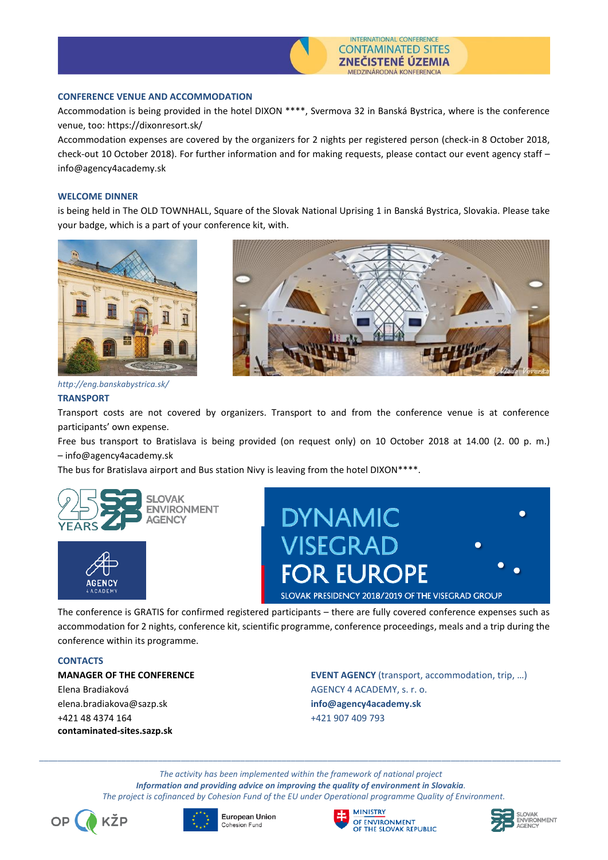

### **CONFERENCE VENUE AND ACCOMMODATION**

Accommodation is being provided in the hotel DIXON \*\*\*\*, Svermova 32 in Banská Bystrica, where is the conference venue, too: https://dixonresort.sk/

Accommodation expenses are covered by the organizers for 2 nights per registered person (check-in 8 October 2018, check-out 10 October 2018). For further information and for making requests, please contact our event agency staff – info@agency4academy.sk

#### **WELCOME DINNER**

is being held in The OLD TOWNHALL, Square of the Slovak National Uprising 1 in Banská Bystrica, Slovakia. Please take your badge, which is a part of your conference kit, with.



### *http://eng.banskabystrica.sk/*

### **TRANSPORT**

Transport costs are not covered by organizers. Transport to and from the conference venue is at conference participants' own expense.

Free bus transport to Bratislava is being provided (on request only) on 10 October 2018 at 14.00 (2. 00 p. m.) – info@agency4academy.sk

The bus for Bratislava airport and Bus station Nivy is leaving from the hotel DIXON\*\*\*\*.









The conference is GRATIS for confirmed registered participants – there are fully covered conference expenses such as accommodation for 2 nights, conference kit, scientific programme, conference proceedings, meals and a trip during the conference within its programme.

#### **CONTACTS**

Elena Bradiaková AGENCY 4 ACADEMY, s. r. o. elena.bradiakova@sazp.sk **info@agency4academy.sk** +421 48 4374 164 +421 907 409 793 **contaminated-sites.sazp.sk**

**MANAGER OF THE CONFERENCE EVENT AGENCY** (transport, accommodation, trip, …)

*The activity has been implemented within the framework of national project Information and providing advice on improving the quality of environment in Slovakia. The project is cofinanced by Cohesion Fund of the EU under Operational programme Quality of Environment.*









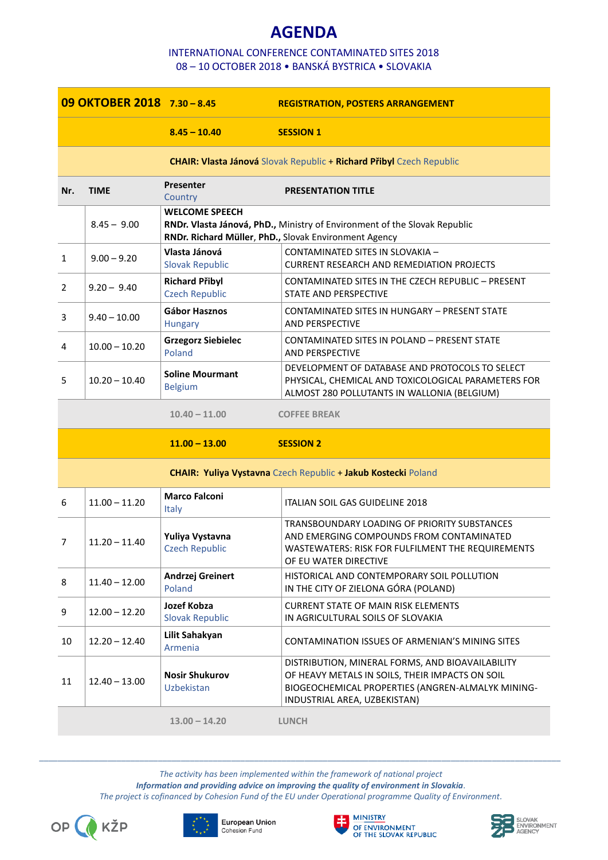# **AGENDA**

### INTERNATIONAL CONFERENCE CONTAMINATED SITES 2018 08 – 10 OCTOBER 2018 • BANSKÁ BYSTRICA • SLOVAKIA

|                | 09 OKTOBER 2018 7.30 - 8.45 |                                                | <b>REGISTRATION, POSTERS ARRANGEMENT</b>                                                                                                                                                 |
|----------------|-----------------------------|------------------------------------------------|------------------------------------------------------------------------------------------------------------------------------------------------------------------------------------------|
|                |                             | $8.45 - 10.40$                                 | <b>SESSION 1</b>                                                                                                                                                                         |
|                |                             |                                                | <b>CHAIR: Vlasta Jánová Slovak Republic + Richard Přibyl Czech Republic</b>                                                                                                              |
| Nr.            | <b>TIME</b>                 | <b>Presenter</b><br>Country                    | <b>PRESENTATION TITLE</b>                                                                                                                                                                |
|                | $8.45 - 9.00$               | <b>WELCOME SPEECH</b>                          | RNDr. Vlasta Jánová, PhD., Ministry of Environment of the Slovak Republic<br>RNDr. Richard Müller, PhD., Slovak Environment Agency                                                       |
| 1              | $9.00 - 9.20$               | Vlasta Jánová<br><b>Slovak Republic</b>        | CONTAMINATED SITES IN SLOVAKIA -<br><b>CURRENT RESEARCH AND REMEDIATION PROJECTS</b>                                                                                                     |
| $\overline{2}$ | $9.20 - 9.40$               | <b>Richard Přibyl</b><br><b>Czech Republic</b> | CONTAMINATED SITES IN THE CZECH REPUBLIC - PRESENT<br>STATE AND PERSPECTIVE                                                                                                              |
| 3              | $9.40 - 10.00$              | Gábor Hasznos<br><b>Hungary</b>                | CONTAMINATED SITES IN HUNGARY - PRESENT STATE<br><b>AND PERSPECTIVE</b>                                                                                                                  |
| 4              | $10.00 - 10.20$             | <b>Grzegorz Siebielec</b><br>Poland            | CONTAMINATED SITES IN POLAND - PRESENT STATE<br><b>AND PERSPECTIVE</b>                                                                                                                   |
| 5              | $10.20 - 10.40$             | <b>Soline Mourmant</b><br><b>Belgium</b>       | DEVELOPMENT OF DATABASE AND PROTOCOLS TO SELECT<br>PHYSICAL, CHEMICAL AND TOXICOLOGICAL PARAMETERS FOR<br>ALMOST 280 POLLUTANTS IN WALLONIA (BELGIUM)                                    |
|                |                             | $10.40 - 11.00$                                | <b>COFFEE BREAK</b>                                                                                                                                                                      |
|                |                             | $11.00 - 13.00$                                | <b>SESSION 2</b>                                                                                                                                                                         |
|                |                             |                                                | <b>CHAIR: Yuliya Vystavna</b> Czech Republic + Jakub Kostecki Poland                                                                                                                     |
| 6              | $11.00 - 11.20$             | <b>Marco Falconi</b><br><b>Italy</b>           | ITALIAN SOIL GAS GUIDELINE 2018                                                                                                                                                          |
| 7              | $11.20 - 11.40$             | Yuliya Vystavna<br><b>Czech Republic</b>       | TRANSBOUNDARY LOADING OF PRIORITY SUBSTANCES<br>AND EMERGING COMPOUNDS FROM CONTAMINATED<br>WASTEWATERS: RISK FOR FULFILMENT THE REQUIREMENTS<br>OF EU WATER DIRECTIVE                   |
| 8              | $11.40 - 12.00$             | Andrzej Greinert<br>Poland                     | HISTORICAL AND CONTEMPORARY SOIL POLLUTION<br>IN THE CITY OF ZIELONA GÓRA (POLAND)                                                                                                       |
| 9              | $12.00 - 12.20$             | Jozef Kobza<br><b>Slovak Republic</b>          | <b>CURRENT STATE OF MAIN RISK ELEMENTS</b><br>IN AGRICULTURAL SOILS OF SLOVAKIA                                                                                                          |
| 10             | $12.20 - 12.40$             | Lilit Sahakyan<br>Armenia                      | CONTAMINATION ISSUES OF ARMENIAN'S MINING SITES                                                                                                                                          |
| 11             | $12.40 - 13.00$             | <b>Nosir Shukurov</b><br>Uzbekistan            | DISTRIBUTION, MINERAL FORMS, AND BIOAVAILABILITY<br>OF HEAVY METALS IN SOILS, THEIR IMPACTS ON SOIL<br>BIOGEOCHEMICAL PROPERTIES (ANGREN-ALMALYK MINING-<br>INDUSTRIAL AREA, UZBEKISTAN) |
|                |                             | $13.00 - 14.20$                                | <b>LUNCH</b>                                                                                                                                                                             |

*The activity has been implemented within the framework of national project Information and providing advice on improving the quality of environment in Slovakia. The project is cofinanced by Cohesion Fund of the EU under Operational programme Quality of Environment.*









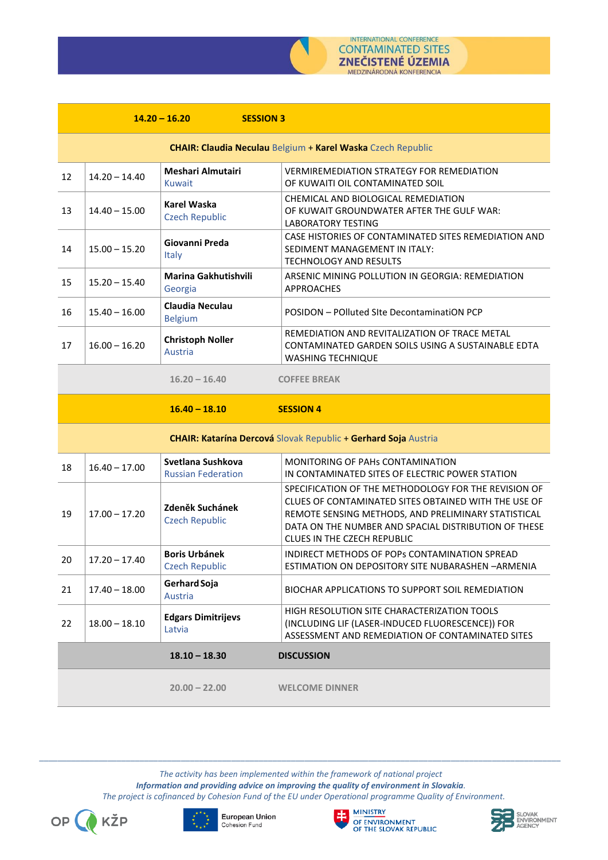

|    |                 | $14.20 - 16.20$<br><b>SESSION 3</b>            |                                                                                                                                                                                                                                                            |
|----|-----------------|------------------------------------------------|------------------------------------------------------------------------------------------------------------------------------------------------------------------------------------------------------------------------------------------------------------|
|    |                 |                                                | <b>CHAIR: Claudia Neculau Belgium + Karel Waska Czech Republic</b>                                                                                                                                                                                         |
| 12 | $14.20 - 14.40$ | <b>Meshari Almutairi</b><br><b>Kuwait</b>      | <b>VERMIREMEDIATION STRATEGY FOR REMEDIATION</b><br>OF KUWAITI OIL CONTAMINATED SOIL                                                                                                                                                                       |
| 13 | $14.40 - 15.00$ | <b>Karel Waska</b><br><b>Czech Republic</b>    | CHEMICAL AND BIOLOGICAL REMEDIATION<br>OF KUWAIT GROUNDWATER AFTER THE GULF WAR:<br><b>LABORATORY TESTING</b>                                                                                                                                              |
| 14 | $15.00 - 15.20$ | Giovanni Preda<br>Italy                        | CASE HISTORIES OF CONTAMINATED SITES REMEDIATION AND<br>SEDIMENT MANAGEMENT IN ITALY:<br><b>TECHNOLOGY AND RESULTS</b>                                                                                                                                     |
| 15 | $15.20 - 15.40$ | Marina Gakhutishvili<br>Georgia                | ARSENIC MINING POLLUTION IN GEORGIA: REMEDIATION<br><b>APPROACHES</b>                                                                                                                                                                                      |
| 16 | $15.40 - 16.00$ | <b>Claudia Neculau</b><br><b>Belgium</b>       | POSIDON - POlluted SIte DecontaminatiON PCP                                                                                                                                                                                                                |
| 17 | $16.00 - 16.20$ | <b>Christoph Noller</b><br><b>Austria</b>      | REMEDIATION AND REVITALIZATION OF TRACE METAL<br>CONTAMINATED GARDEN SOILS USING A SUSTAINABLE EDTA<br><b>WASHING TECHNIQUE</b>                                                                                                                            |
|    |                 | $16.20 - 16.40$                                | <b>COFFEE BREAK</b>                                                                                                                                                                                                                                        |
|    |                 | $16.40 - 18.10$                                | <b>SESSION 4</b>                                                                                                                                                                                                                                           |
|    |                 |                                                |                                                                                                                                                                                                                                                            |
|    |                 |                                                | CHAIR: Katarína Dercová Slovak Republic + Gerhard Soja Austria                                                                                                                                                                                             |
| 18 | $16.40 - 17.00$ | Svetlana Sushkova<br><b>Russian Federation</b> | MONITORING OF PAHS CONTAMINATION<br>IN CONTAMINATED SITES OF ELECTRIC POWER STATION                                                                                                                                                                        |
| 19 | $17.00 - 17.20$ | Zdeněk Suchánek<br><b>Czech Republic</b>       | SPECIFICATION OF THE METHODOLOGY FOR THE REVISION OF<br>CLUES OF CONTAMINATED SITES OBTAINED WITH THE USE OF<br>REMOTE SENSING METHODS, AND PRELIMINARY STATISTICAL<br>DATA ON THE NUMBER AND SPACIAL DISTRIBUTION OF THESE<br>CLUES IN THE CZECH REPUBLIC |
| 20 | $17.20 - 17.40$ | <b>Boris Urbánek</b><br><b>Czech Republic</b>  | INDIRECT METHODS OF POPS CONTAMINATION SPREAD<br>ESTIMATION ON DEPOSITORY SITE NUBARASHEN - ARMENIA                                                                                                                                                        |
| 21 | $17.40 - 18.00$ | Gerhard Soja<br>Austria                        | BIOCHAR APPLICATIONS TO SUPPORT SOIL REMEDIATION                                                                                                                                                                                                           |
| 22 | $18.00 - 18.10$ | <b>Edgars Dimitrijevs</b><br>Latvia            | HIGH RESOLUTION SITE CHARACTERIZATION TOOLS<br>(INCLUDING LIF (LASER-INDUCED FLUORESCENCE)) FOR<br>ASSESSMENT AND REMEDIATION OF CONTAMINATED SITES                                                                                                        |

**20.00 – 22.00 WELCOME DINNER**

*The activity has been implemented within the framework of national project Information and providing advice on improving the quality of environment in Slovakia. The project is cofinanced by Cohesion Fund of the EU under Operational programme Quality of Environment.*









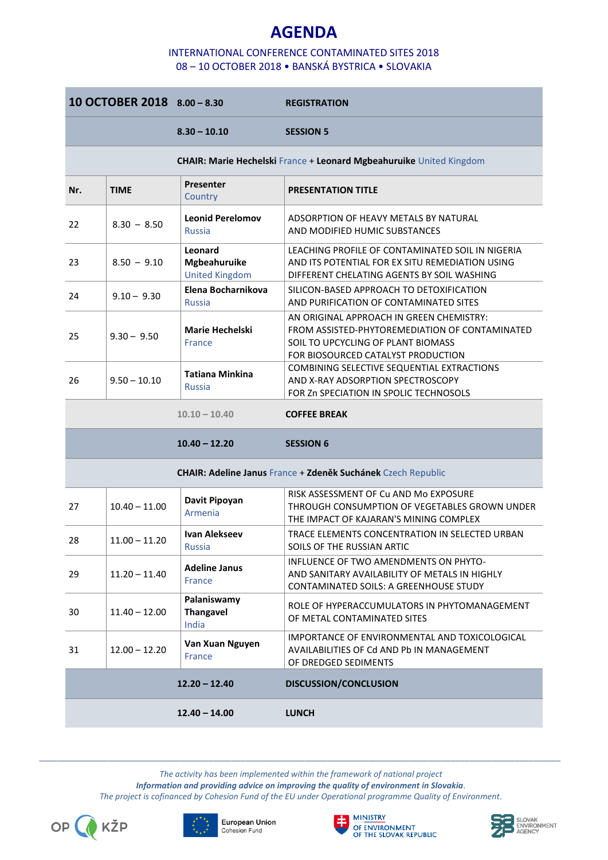# **AGENDA**

### INTERNATIONAL CONFERENCE CONTAMINATED SITES 2018 08 – 10 OCTOBER 2018 • BANSKÁ BYSTRICA • SLOVAKIA

|     | 10 OCTOBER 2018 8.00 - 8.30 |                                                         | <b>REGISTRATION</b>                                                                                                                                                    |
|-----|-----------------------------|---------------------------------------------------------|------------------------------------------------------------------------------------------------------------------------------------------------------------------------|
|     |                             | $8.30 - 10.10$                                          | <b>SESSION 5</b>                                                                                                                                                       |
|     |                             |                                                         | CHAIR: Marie Hechelski France + Leonard Mgbeahuruike United Kingdom                                                                                                    |
| Nr. | <b>TIME</b>                 | <b>Presenter</b><br>Country                             | <b>PRESENTATION TITLE</b>                                                                                                                                              |
| 22  | $8.30 - 8.50$               | <b>Leonid Perelomov</b><br><b>Russia</b>                | ADSORPTION OF HEAVY METALS BY NATURAL<br>AND MODIFIED HUMIC SUBSTANCES                                                                                                 |
| 23  | $8.50 - 9.10$               | Leonard<br><b>Mgbeahuruike</b><br><b>United Kingdom</b> | LEACHING PROFILE OF CONTAMINATED SOIL IN NIGERIA<br>AND ITS POTENTIAL FOR EX SITU REMEDIATION USING<br>DIFFERENT CHELATING AGENTS BY SOIL WASHING                      |
| 24  | $9.10 - 9.30$               | Elena Bocharnikova<br><b>Russia</b>                     | SILICON-BASED APPROACH TO DETOXIFICATION<br>AND PURIFICATION OF CONTAMINATED SITES                                                                                     |
| 25  | $9.30 - 9.50$               | <b>Marie Hechelski</b><br><b>France</b>                 | AN ORIGINAL APPROACH IN GREEN CHEMISTRY:<br>FROM ASSISTED-PHYTOREMEDIATION OF CONTAMINATED<br>SOIL TO UPCYCLING OF PLANT BIOMASS<br>FOR BIOSOURCED CATALYST PRODUCTION |
| 26  | $9.50 - 10.10$              | <b>Tatiana Minkina</b><br><b>Russia</b>                 | COMBINING SELECTIVE SEQUENTIAL EXTRACTIONS<br>AND X-RAY ADSORPTION SPECTROSCOPY<br>FOR Zn SPECIATION IN SPOLIC TECHNOSOLS                                              |
|     |                             | $10.10 - 10.40$                                         | <b>COFFEE BREAK</b>                                                                                                                                                    |
|     |                             | $10.40 - 12.20$                                         | <b>SESSION 6</b>                                                                                                                                                       |
|     |                             |                                                         | <b>CHAIR: Adeline Janus France + Zdeněk Suchánek Czech Republic</b>                                                                                                    |
| 27  | $10.40 - 11.00$             | Davit Pipoyan<br>Armenia                                | RISK ASSESSMENT OF Cu AND Mo EXPOSURE<br>THROUGH CONSUMPTION OF VEGETABLES GROWN UNDER<br>THE IMPACT OF KAJARAN'S MINING COMPLEX                                       |
| 28  | $11.00 - 11.20$             | Ivan Alekseev<br>Russia                                 | TRACE ELEMENTS CONCENTRATION IN SELECTED URBAN<br>SOILS OF THE RUSSIAN ARTIC                                                                                           |
| 29  | $11.20 - 11.40$             | <b>Adeline Janus</b><br><b>France</b>                   | INFLUENCE OF TWO AMENDMENTS ON PHYTO-<br>AND SANITARY AVAILABILITY OF METALS IN HIGHLY<br>CONTAMINATED SOILS: A GREENHOUSE STUDY                                       |
| 30  | $11.40 - 12.00$             | Palaniswamy<br><b>Thangavel</b><br>India                | ROLE OF HYPERACCUMULATORS IN PHYTOMANAGEMENT<br>OF METAL CONTAMINATED SITES                                                                                            |
| 31  | $12.00 - 12.20$             | Van Xuan Nguyen<br>France                               | IMPORTANCE OF ENVIRONMENTAL AND TOXICOLOGICAL<br>AVAILABILITIES OF Cd AND Pb IN MANAGEMENT<br>OF DREDGED SEDIMENTS                                                     |
|     |                             | $12.20 - 12.40$                                         | DISCUSSION/CONCLUSION                                                                                                                                                  |
|     |                             | $12.40 - 14.00$                                         | <b>LUNCH</b>                                                                                                                                                           |

*\_\_\_\_\_\_\_\_\_\_\_\_\_\_\_\_\_\_\_\_\_\_\_\_\_\_\_\_\_\_\_\_\_\_\_\_\_\_\_\_\_\_\_\_\_\_\_\_\_\_\_\_\_\_\_\_\_\_\_\_\_\_\_\_\_\_\_\_\_\_\_\_\_\_\_\_\_\_\_\_\_\_\_\_\_\_\_\_\_\_\_\_\_\_\_\_\_\_\_\_\_\_\_\_\_\_\_\_\_\_\_\_\_\_ The activity has been implemented within the framework of national project*

*Information and providing advice on improving the quality of environment in Slovakia. The project is cofinanced by Cohesion Fund of the EU under Operational programme Quality of Environment.*









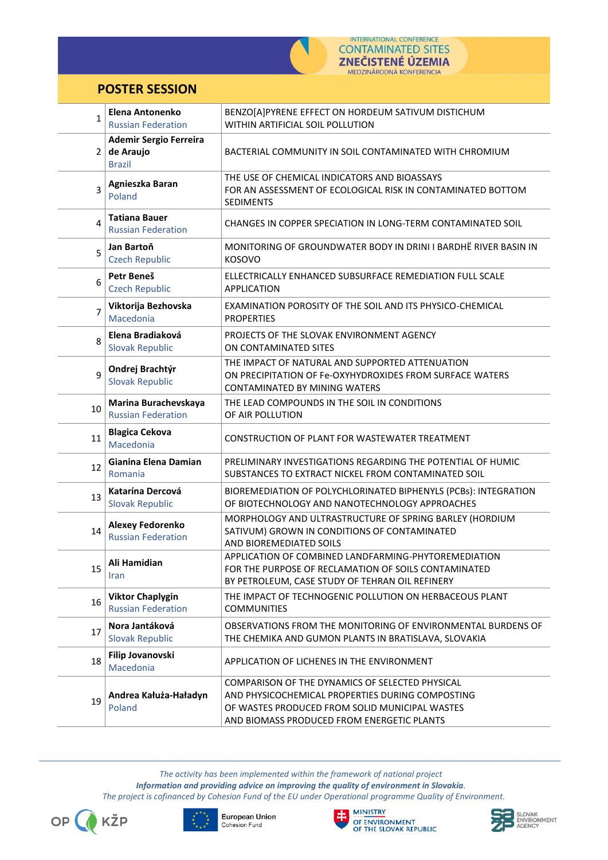

## **POSTER SESSION**

| 1              | Elena Antonenko<br><b>Russian Federation</b>         | BENZO[A]PYRENE EFFECT ON HORDEUM SATIVUM DISTICHUM<br>WITHIN ARTIFICIAL SOIL POLLUTION                                                                                                              |
|----------------|------------------------------------------------------|-----------------------------------------------------------------------------------------------------------------------------------------------------------------------------------------------------|
|                | <b>Ademir Sergio Ferreira</b>                        |                                                                                                                                                                                                     |
|                | $2  $ de Araujo<br><b>Brazil</b>                     | BACTERIAL COMMUNITY IN SOIL CONTAMINATED WITH CHROMIUM                                                                                                                                              |
| 3              | Agnieszka Baran<br>Poland                            | THE USE OF CHEMICAL INDICATORS AND BIOASSAYS<br>FOR AN ASSESSMENT OF ECOLOGICAL RISK IN CONTAMINATED BOTTOM<br><b>SEDIMENTS</b>                                                                     |
| $\overline{4}$ | <b>Tatiana Bauer</b><br><b>Russian Federation</b>    | CHANGES IN COPPER SPECIATION IN LONG-TERM CONTAMINATED SOIL                                                                                                                                         |
| 5              | Jan Bartoň<br><b>Czech Republic</b>                  | MONITORING OF GROUNDWATER BODY IN DRINI I BARDHË RIVER BASIN IN<br><b>KOSOVO</b>                                                                                                                    |
| 6              | Petr Beneš<br><b>Czech Republic</b>                  | ELLECTRICALLY ENHANCED SUBSURFACE REMEDIATION FULL SCALE<br><b>APPLICATION</b>                                                                                                                      |
| $\overline{7}$ | Viktorija Bezhovska<br>Macedonia                     | EXAMINATION POROSITY OF THE SOIL AND ITS PHYSICO-CHEMICAL<br><b>PROPERTIES</b>                                                                                                                      |
| 8              | Elena Bradiaková<br><b>Slovak Republic</b>           | PROJECTS OF THE SLOVAK ENVIRONMENT AGENCY<br>ON CONTAMINATED SITES                                                                                                                                  |
| 9              | Ondrej Brachtýr<br><b>Slovak Republic</b>            | THE IMPACT OF NATURAL AND SUPPORTED ATTENUATION<br>ON PRECIPITATION OF Fe-OXYHYDROXIDES FROM SURFACE WATERS<br><b>CONTAMINATED BY MINING WATERS</b>                                                 |
| 10             | Marina Burachevskaya<br><b>Russian Federation</b>    | THE LEAD COMPOUNDS IN THE SOIL IN CONDITIONS<br>OF AIR POLLUTION                                                                                                                                    |
| 11             | <b>Blagica Cekova</b><br>Macedonia                   | CONSTRUCTION OF PLANT FOR WASTEWATER TREATMENT                                                                                                                                                      |
| 12             | Gianina Elena Damian<br>Romania                      | PRELIMINARY INVESTIGATIONS REGARDING THE POTENTIAL OF HUMIC<br>SUBSTANCES TO EXTRACT NICKEL FROM CONTAMINATED SOIL                                                                                  |
| 13             | Katarína Dercová<br><b>Slovak Republic</b>           | BIOREMEDIATION OF POLYCHLORINATED BIPHENYLS (PCBs): INTEGRATION<br>OF BIOTECHNOLOGY AND NANOTECHNOLOGY APPROACHES                                                                                   |
| 14             | <b>Alexey Fedorenko</b><br><b>Russian Federation</b> | MORPHOLOGY AND ULTRASTRUCTURE OF SPRING BARLEY (HORDIUM<br>SATIVUM) GROWN IN CONDITIONS OF CONTAMINATED<br>AND BIOREMEDIATED SOILS                                                                  |
| 15             | Ali Hamidian<br><b>Iran</b>                          | APPLICATION OF COMBINED LANDFARMING-PHYTOREMEDIATION<br>FOR THE PURPOSE OF RECLAMATION OF SOILS CONTAMINATED<br>BY PETROLEUM, CASE STUDY OF TEHRAN OIL REFINERY                                     |
| 16             | <b>Viktor Chaplygin</b><br><b>Russian Federation</b> | THE IMPACT OF TECHNOGENIC POLLUTION ON HERBACEOUS PLANT<br><b>COMMUNITIES</b>                                                                                                                       |
| 17             | Nora Jantáková<br><b>Slovak Republic</b>             | OBSERVATIONS FROM THE MONITORING OF ENVIRONMENTAL BURDENS OF<br>THE CHEMIKA AND GUMON PLANTS IN BRATISLAVA, SLOVAKIA                                                                                |
| 18             | Filip Jovanovski<br>Macedonia                        | APPLICATION OF LICHENES IN THE ENVIRONMENT                                                                                                                                                          |
| 19             | Andrea Kałuża-Haładyn<br>Poland                      | COMPARISON OF THE DYNAMICS OF SELECTED PHYSICAL<br>AND PHYSICOCHEMICAL PROPERTIES DURING COMPOSTING<br>OF WASTES PRODUCED FROM SOLID MUNICIPAL WASTES<br>AND BIOMASS PRODUCED FROM ENERGETIC PLANTS |

*\_\_\_\_\_\_\_\_\_\_\_\_\_\_\_\_\_\_\_\_\_\_\_\_\_\_\_\_\_\_\_\_\_\_\_\_\_\_\_\_\_\_\_\_\_\_\_\_\_\_\_\_\_\_\_\_\_\_\_\_\_\_\_\_\_\_\_\_\_\_\_\_\_\_\_\_\_\_\_\_\_\_\_\_\_\_\_\_\_\_\_\_\_\_\_\_\_\_\_\_\_\_\_\_\_\_\_\_\_\_\_\_\_\_ The activity has been implemented within the framework of national project*

*Information and providing advice on improving the quality of environment in Slovakia.*

*The project is cofinanced by Cohesion Fund of the EU under Operational programme Quality of Environment.*